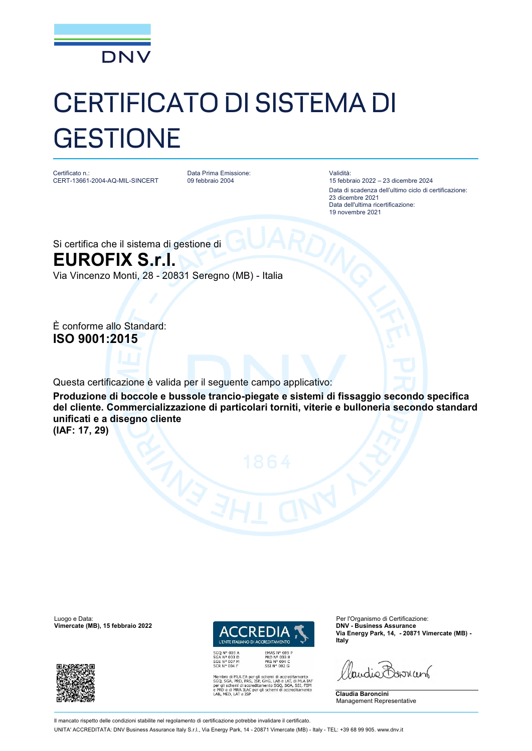

## CERTIFICATO DI SISTEMA DI **GESTIONE**

Certificato n.: CERT-13661-2004-AQ-MIL-SINCERT Data Prima Emissione: 09 febbraio 2004

Validità:

15 febbraio 2022 – 23 dicembre 2024 Data di scadenza dell'ultimo ciclo di certificazione: 23 dicembre 2021 Data dell'ultima ricertificazione: 19 novembre 2021

Si certifica che il sistema di gestione di **EUROFIX S.r.l.**

Via Vincenzo Monti, 28 - 20831 Seregno (MB) - Italia

È conforme allo Standard: **ISO 9001:2015**

Questa certificazione è valida per il seguente campo applicativo:

**Produzione di boccole e bussole trancio-piegate e sistemi di fissaggio secondo specifica del cliente. Commercializzazione di particolari torniti, viterie e bulloneria secondo standard unificati e a disegno cliente** 

**(IAF: 17, 29)**

Luogo e Data:<br> **Vimercate (MB), 15 febbraio 2022** (Particular Contractor Contractor Contractor Contractor Contractor Contractor Contractor Contractor Contractor Contractor Contractor Contractor Contractor Contractor Contra





MLA EA per gli schemi di accreditamento<br>PRD, PRS, ISP, GHG, LAB e LAT, di MLA IAF<br>emi di accreditamento SGQ, SGA, SSI, FSM<br>MRA ILAC per gli schemi di accreditamento

**Via Energy Park, 14, - 20871 Vimercate (MB) - Italy**

Paudie Barriant

**Claudia Baroncini** Management Representative

Il mancato rispetto delle condizioni stabilite nel regolamento di certificazione potrebbe invalidare il certificato.

UNITA' ACCREDITATA: DNV Business Assurance Italy S.r.l., Via Energy Park, 14 - 20871 Vimercate (MB) - Italy - TEL: +39 68 99 905. [www.dnv.it](http://www.dnv.it)